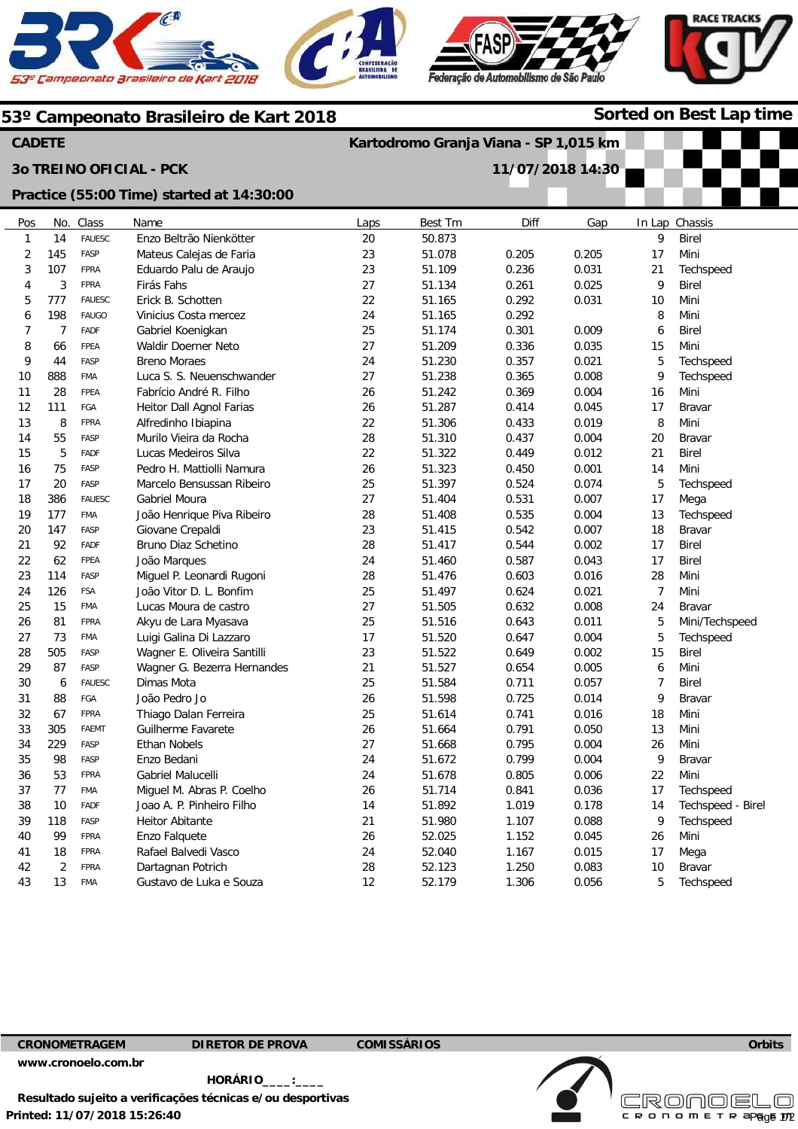





**Sorted on Best Lap time**

#### **53º Campeonato Brasileiro de Kart 2018**

**Practice (55:00 Time) started at 14:30:00** 

#### **CADETE**

**3o TREINO OFICIAL - PCK** 

# **Kartodromo Granja Viana - SP 1,015 km**

**11/07/2018 14:30** 

| Pos            | No.            | Class         | Name                        | Laps | Best Tm | Diff  | Gap   |                | In Lap Chassis    |
|----------------|----------------|---------------|-----------------------------|------|---------|-------|-------|----------------|-------------------|
| $\mathbf{1}$   | 14             | <b>FAUESC</b> | Enzo Beltrão Nienkötter     | 20   | 50.873  |       |       | 9              | <b>Birel</b>      |
| $\overline{2}$ | 145            | FASP          | Mateus Calejas de Faria     | 23   | 51.078  | 0.205 | 0.205 | 17             | Mini              |
| 3              | 107            | <b>FPRA</b>   | Eduardo Palu de Araujo      | 23   | 51.109  | 0.236 | 0.031 | 21             | Techspeed         |
| $\overline{4}$ | 3              | <b>FPRA</b>   | Firás Fahs                  | 27   | 51.134  | 0.261 | 0.025 | 9              | <b>Birel</b>      |
| 5              | 777            | <b>FAUESC</b> | Erick B. Schotten           | 22   | 51.165  | 0.292 | 0.031 | 10             | Mini              |
| 6              | 198            | FAUGO         | Vinicius Costa mercez       | 24   | 51.165  | 0.292 |       | 8              | Mini              |
| $\overline{7}$ | $\overline{7}$ | FADF          | Gabriel Koenigkan           | 25   | 51.174  | 0.301 | 0.009 | 6              | <b>Birel</b>      |
| 8              | 66             | FPEA          | Waldir Doerner Neto         | 27   | 51.209  | 0.336 | 0.035 | 15             | Mini              |
| 9              | 44             | FASP          | <b>Breno Moraes</b>         | 24   | 51.230  | 0.357 | 0.021 | 5              | Techspeed         |
| 10             | 888            | <b>FMA</b>    | Luca S. S. Neuenschwander   | 27   | 51.238  | 0.365 | 0.008 | 9              | Techspeed         |
| 11             | 28             | FPEA          | Fabrício André R. Filho     | 26   | 51.242  | 0.369 | 0.004 | 16             | Mini              |
| 12             | 111            | FGA           | Heitor Dall Agnol Farias    | 26   | 51.287  | 0.414 | 0.045 | 17             | Bravar            |
| 13             | 8              | <b>FPRA</b>   | Alfredinho Ibiapina         | 22   | 51.306  | 0.433 | 0.019 | 8              | Mini              |
| 14             | 55             | FASP          | Murilo Vieira da Rocha      | 28   | 51.310  | 0.437 | 0.004 | 20             | Bravar            |
| 15             | 5              | <b>FADF</b>   | Lucas Medeiros Silva        | 22   | 51.322  | 0.449 | 0.012 | 21             | <b>Birel</b>      |
| 16             | 75             | FASP          | Pedro H. Mattiolli Namura   | 26   | 51.323  | 0.450 | 0.001 | 14             | Mini              |
| 17             | 20             | FASP          | Marcelo Bensussan Ribeiro   | 25   | 51.397  | 0.524 | 0.074 | $\mathbf 5$    | Techspeed         |
| 18             | 386            | <b>FAUESC</b> | Gabriel Moura               | 27   | 51.404  | 0.531 | 0.007 | 17             | Mega              |
| 19             | 177            | <b>FMA</b>    | João Henrique Piva Ribeiro  | 28   | 51.408  | 0.535 | 0.004 | 13             | Techspeed         |
| 20             | 147            | FASP          | Giovane Crepaldi            | 23   | 51.415  | 0.542 | 0.007 | 18             | Bravar            |
| 21             | 92             | FADF          | Bruno Diaz Schetino         | 28   | 51.417  | 0.544 | 0.002 | 17             | <b>Birel</b>      |
| 22             | 62             | <b>FPEA</b>   | João Marques                | 24   | 51.460  | 0.587 | 0.043 | 17             | <b>Birel</b>      |
| 23             | 114            | FASP          | Miguel P. Leonardi Rugoni   | 28   | 51.476  | 0.603 | 0.016 | 28             | Mini              |
| 24             | 126            | <b>FSA</b>    | João Vitor D. L. Bonfim     | 25   | 51.497  | 0.624 | 0.021 | $\overline{7}$ | Mini              |
| 25             | 15             | <b>FMA</b>    | Lucas Moura de castro       | 27   | 51.505  | 0.632 | 0.008 | 24             | Bravar            |
| 26             | 81             | <b>FPRA</b>   | Akyu de Lara Myasava        | 25   | 51.516  | 0.643 | 0.011 | 5              | Mini/Techspeed    |
| 27             | 73             | <b>FMA</b>    | Luigi Galina Di Lazzaro     | 17   | 51.520  | 0.647 | 0.004 | 5              | Techspeed         |
| 28             | 505            | FASP          | Wagner E. Oliveira Santilli | 23   | 51.522  | 0.649 | 0.002 | 15             | Birel             |
| 29             | 87             | FASP          | Wagner G. Bezerra Hernandes | 21   | 51.527  | 0.654 | 0.005 | 6              | Mini              |
| 30             | 6              | <b>FAUESC</b> | Dimas Mota                  | 25   | 51.584  | 0.711 | 0.057 | $\overline{7}$ | <b>Birel</b>      |
| 31             | 88             | FGA           | João Pedro Jo               | 26   | 51.598  | 0.725 | 0.014 | 9              | <b>Bravar</b>     |
| 32             | 67             | <b>FPRA</b>   | Thiago Dalan Ferreira       | 25   | 51.614  | 0.741 | 0.016 | 18             | Mini              |
| 33             | 305            | FAEMT         | Guilherme Favarete          | 26   | 51.664  | 0.791 | 0.050 | 13             | Mini              |
| 34             | 229            | FASP          | <b>Ethan Nobels</b>         | 27   | 51.668  | 0.795 | 0.004 | 26             | Mini              |
| 35             | 98             | FASP          | Enzo Bedani                 | 24   | 51.672  | 0.799 | 0.004 | 9              | <b>Bravar</b>     |
| 36             | 53             | <b>FPRA</b>   | Gabriel Malucelli           | 24   | 51.678  | 0.805 | 0.006 | 22             | Mini              |
| 37             | 77             | <b>FMA</b>    | Miguel M. Abras P. Coelho   | 26   | 51.714  | 0.841 | 0.036 | 17             | Techspeed         |
| 38             | 10             | FADF          | Joao A. P. Pinheiro Filho   | 14   | 51.892  | 1.019 | 0.178 | 14             | Techspeed - Birel |
| 39             | 118            | FASP          | Heitor Abitante             | 21   | 51.980  | 1.107 | 0.088 | 9              | Techspeed         |
| 40             | 99             | <b>FPRA</b>   | Enzo Falquete               | 26   | 52.025  | 1.152 | 0.045 | 26             | Mini              |
| 41             | 18             | <b>FPRA</b>   | Rafael Balvedi Vasco        | 24   | 52.040  | 1.167 | 0.015 | 17             | Mega              |
| 42             | $\overline{2}$ | <b>FPRA</b>   | Dartagnan Potrich           | 28   | 52.123  | 1.250 | 0.083 | 10             | Bravar            |
| 43             | 13             | <b>FMA</b>    | Gustavo de Luka e Souza     | 12   | 52.179  | 1.306 | 0.056 | 5              | Techspeed         |
|                |                |               |                             |      |         |       |       |                |                   |

**CRONOMETRAGEM DIRETOR DE PROVA COMISSÁRIOS** 

**www.cronoelo.com.br** 

**Printed: 11/07/2018 15:26:40 HORÁRIO\_\_\_\_:\_\_\_\_ Resultado sujeito a verificações técnicas e/ou desportivas** 

**Licensed to: Cronoelo**  CRONOMETR  $=$ Page  $1/2$ 

**Orbits**